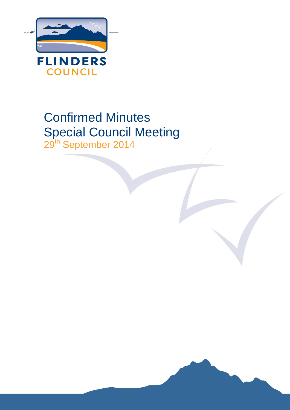

# Confirmed Minutes Special Council Meeting 29<sup>th</sup> September 2014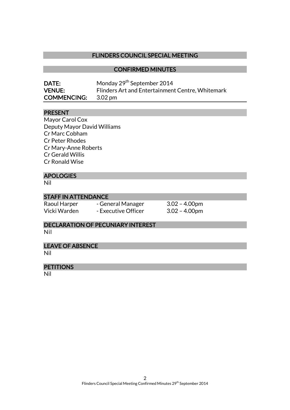## FLINDERS COUNCIL SPECIAL MEETING

## CONFIRMED MINUTES

| <b>DATE:</b>               | Monday 29 <sup>th</sup> September 2014           |
|----------------------------|--------------------------------------------------|
| <b>VENUE:</b>              | Flinders Art and Entertainment Centre, Whitemark |
| <b>COMMENCING:</b> 3.02 pm |                                                  |

## PRESENT

Mayor Carol Cox Deputy Mayor David Williams Cr Marc Cobham Cr Peter Rhodes Cr Mary-Anne Roberts Cr Gerald Willis Cr Ronald Wise

# APOLOGIES

Nil

## STAFF IN ATTENDANCE

| Raoul Harper | - General Manager   | $3.02 - 4.00$ pm |
|--------------|---------------------|------------------|
| Vicki Warden | - Executive Officer | $3.02 - 4.00$ pm |

# DECLARATION OF PECUNIARY INTEREST

Nil

## LEAVE OF ABSENCE

Nil

#### **PETITIONS**

Nil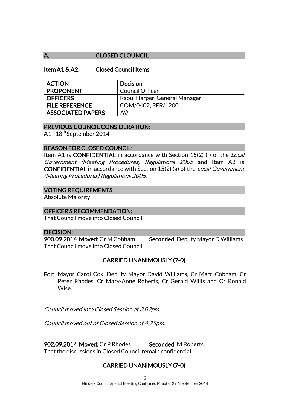## A. CLOSED CLOUNCIL

## Item A1 & A2: Closed Council Items

| <b>ACTION</b>            | <b>Decision</b>               |
|--------------------------|-------------------------------|
| <b>PROPONENT</b>         | <b>Council Officer</b>        |
| <b>OFFICERS</b>          | Raoul Harper, General Manager |
| <b>FILE REFERENCE</b>    | COM/0402, PER/1200            |
| <b>ASSOCIATED PAPERS</b> | Nil                           |

## PREVIOUS COUNCIL CONSIDERATION:

A1 - 18th September 2014

## REASON FOR CLOSED COUNCIL:

Item A1 is **CONFIDENTIAL** in accordance with Section 15(2) (f) of the *Local* Government (Meeting Procedures) Regulations 2005 and Item A2 is CONFIDENTIAL in accordance with Section 15(2) (a) of the Local Government (Meeting Procedures) Regulations 2005.

## VOTING REQUIREMENTS

Absolute Majority

#### OFFICER'S RECOMMENDATION:

That Council move into Closed Council.

#### DECISION:

900.09.2014 Moved: Cr M Cobham Seconded: Deputy Mayor D Williams That Council move into Closed Council.

## CARRIED UNANIMOUSLY (7-0)

For: Mayor Carol Cox, Deputy Mayor David Williams, Cr Marc Cobham, Cr Peter Rhodes, Cr Mary-Anne Roberts, Cr Gerald Willis and Cr Ronald Wise.

Council moved into Closed Session at 3.02pm.

Council moved out of Closed Session at 4.25pm.

902.09.2014 Moved: Cr P Rhodes Seconded: M Roberts That the discussions in Closed Council remain confidential.

# CARRIED UNANIMOUSLY (7-0)

3 Flinders Council Special Meeting Confirmed Minutes 29<sup>th</sup> September 2014